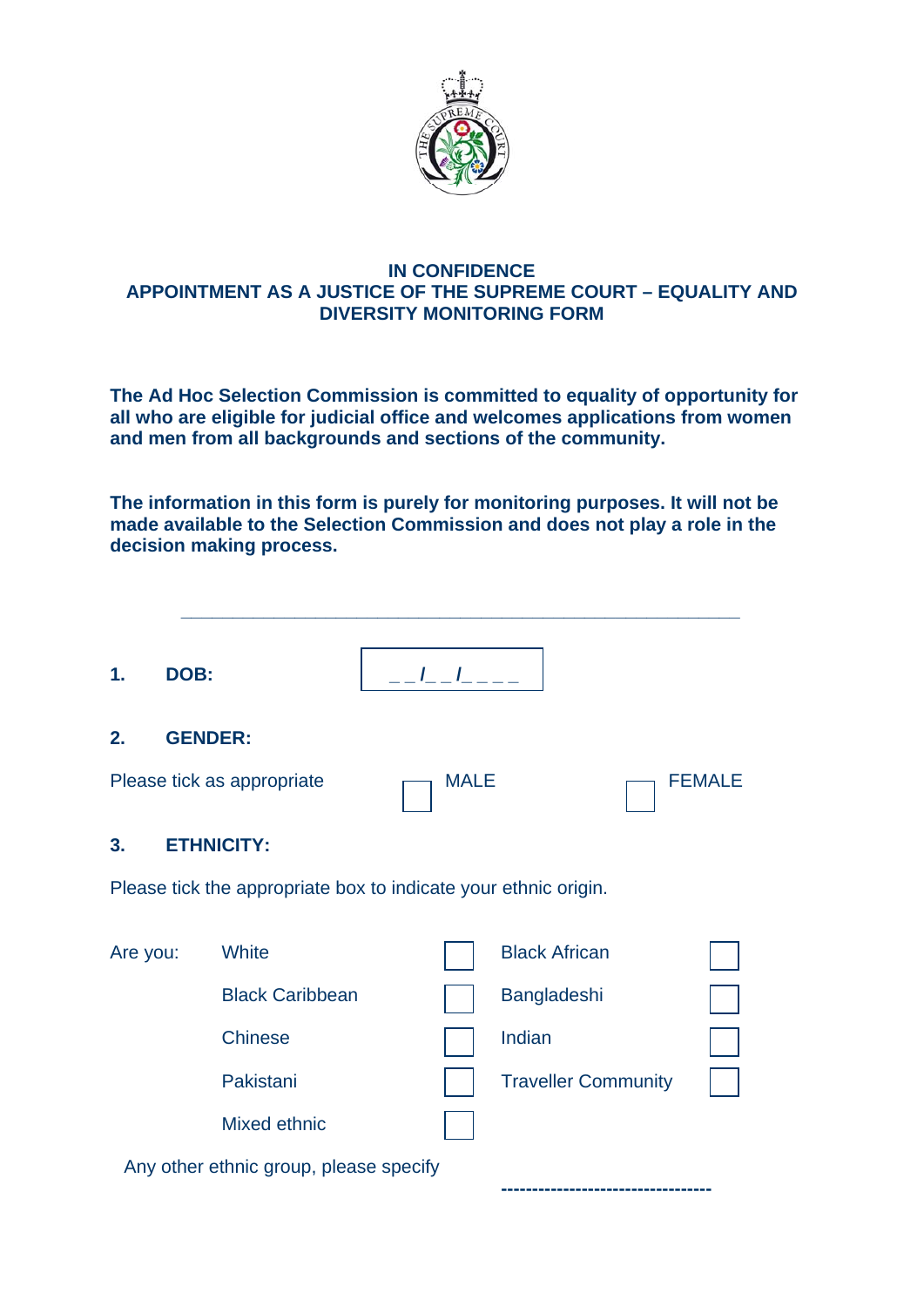

#### **IN CONFIDENCE APPOINTMENT AS A JUSTICE OF THE SUPREME COURT – EQUALITY AND DIVERSITY MONITORING FORM**

**The Ad Hoc Selection Commission is committed to equality of opportunity for all who are eligible for judicial office and welcomes applications from women and men from all backgrounds and sections of the community.** 

**The information in this form is purely for monitoring purposes. It will not be made available to the Selection Commission and does not play a role in the decision making process.** 

| 1.       | DOB:           |                                                                 | $\frac{1}{2}$ $\frac{1}{2}$ $\frac{1}{2}$ $\frac{1}{2}$ $\frac{1}{2}$ |                            |               |
|----------|----------------|-----------------------------------------------------------------|-----------------------------------------------------------------------|----------------------------|---------------|
| 2.       | <b>GENDER:</b> |                                                                 |                                                                       |                            |               |
|          |                | Please tick as appropriate                                      | <b>MALE</b>                                                           |                            | <b>FEMALE</b> |
| 3.       |                | <b>ETHNICITY:</b>                                               |                                                                       |                            |               |
|          |                | Please tick the appropriate box to indicate your ethnic origin. |                                                                       |                            |               |
| Are you: |                | White                                                           |                                                                       | <b>Black African</b>       |               |
|          |                | <b>Black Caribbean</b>                                          |                                                                       | Bangladeshi                |               |
|          |                | <b>Chinese</b>                                                  |                                                                       | Indian                     |               |
|          |                | Pakistani                                                       |                                                                       | <b>Traveller Community</b> |               |
|          |                | Mixed ethnic                                                    |                                                                       |                            |               |
|          |                | Any other ethnic group, please specify                          |                                                                       |                            |               |
|          |                |                                                                 |                                                                       |                            |               |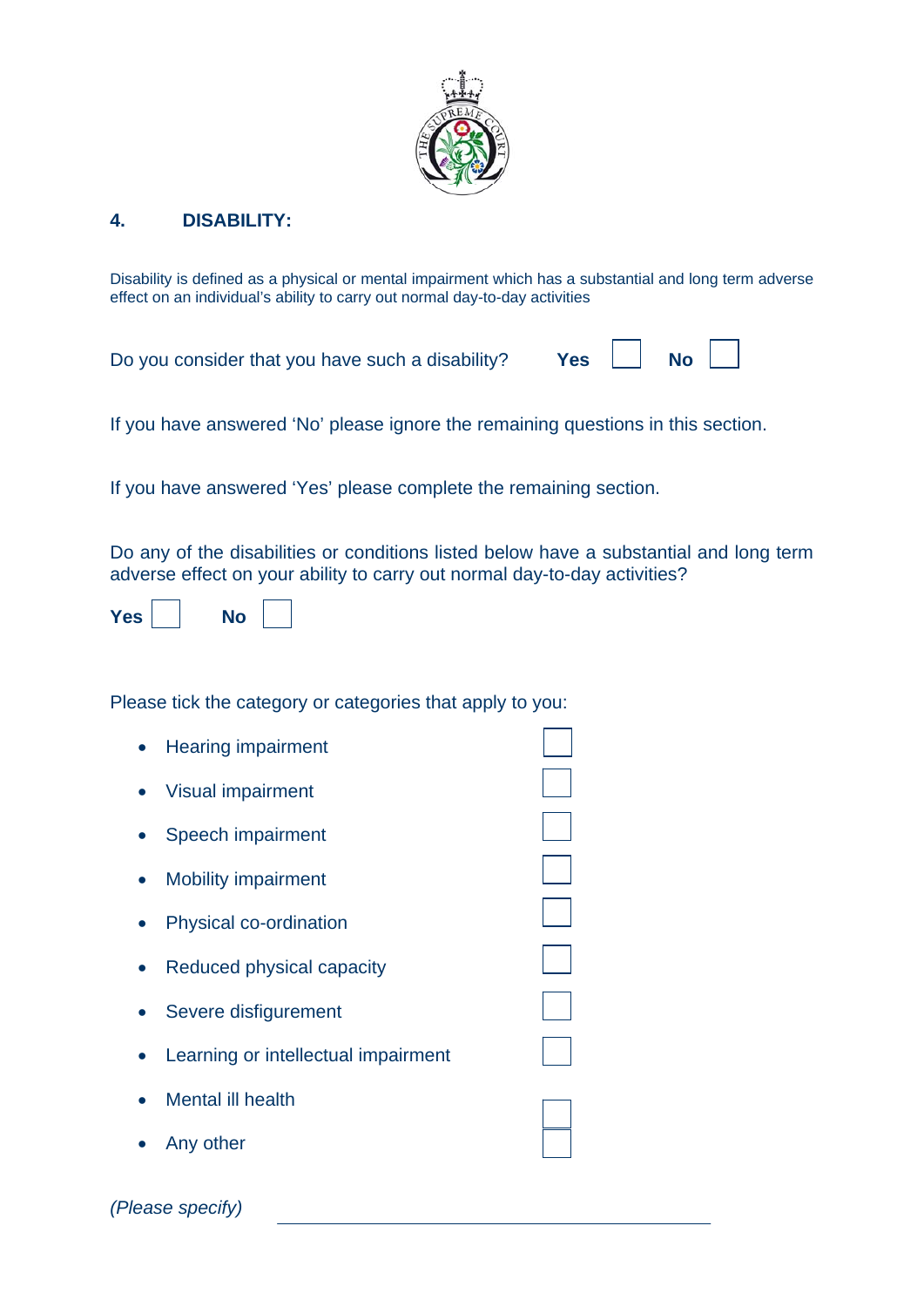

#### **4. DISABILITY:**

Disability is defined as a physical or mental impairment which has a substantial and long term adverse effect on an individual's ability to carry out normal day-to-day activities

Do you consider that you have such a disability? **Yes No** 

If you have answered 'No' please ignore the remaining questions in this section.

If you have answered 'Yes' please complete the remaining section.

Do any of the disabilities or conditions listed below have a substantial and long term adverse effect on your ability to carry out normal day-to-day activities?

| `AS` |  |  |  |  |
|------|--|--|--|--|
|------|--|--|--|--|

*(Please specify)* 

Please tick the category or categories that apply to you:

| <b>Hearing impairment</b>           |  |
|-------------------------------------|--|
| <b>Visual impairment</b>            |  |
| Speech impairment                   |  |
| <b>Mobility impairment</b>          |  |
| Physical co-ordination              |  |
| Reduced physical capacity           |  |
| Severe disfigurement                |  |
| Learning or intellectual impairment |  |
| <b>Mental ill health</b>            |  |
| Any other                           |  |
|                                     |  |